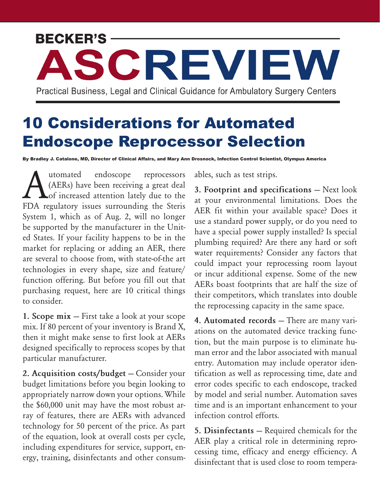## **BECKER'S -**

Practical Business, Legal and Clinical Guidance for Ambulatory Surgery Centers

ASCREVIEW

## 10 Considerations for Automated Endoscope Reprocessor Selection

By Bradley J. Catalone, MD, Director of Clinical Affairs, and Mary Ann Drosnock, Infection Control Scientist, Olympus America

Mutomated endoscope reprocessors<br>(AERs) have been receiving a great deal<br>of increased attention lately due to the (AERs) have been receiving a great deal **Lof** increased attention lately due to the FDA regulatory issues surrounding the Steris System 1, which as of Aug. 2, will no longer be supported by the manufacturer in the United States. If your facility happens to be in the market for replacing or adding an AER, there are several to choose from, with state-of-the art technologies in every shape, size and feature/ function offering. But before you fill out that purchasing request, here are 10 critical things to consider.

**1. Scope mix —** First take a look at your scope mix. If 80 percent of your inventory is Brand X, then it might make sense to first look at AERs designed specifically to reprocess scopes by that particular manufacturer.

**2. Acquisition costs/budget —** Consider your budget limitations before you begin looking to appropriately narrow down your options. While the \$60,000 unit may have the most robust array of features, there are AERs with advanced technology for 50 percent of the price. As part of the equation, look at overall costs per cycle, including expenditures for service, support, energy, training, disinfectants and other consumables, such as test strips.

**3. Footprint and specifications —** Next look at your environmental limitations. Does the AER fit within your available space? Does it use a standard power supply, or do you need to have a special power supply installed? Is special plumbing required? Are there any hard or soft water requirements? Consider any factors that could impact your reprocessing room layout or incur additional expense. Some of the new AERs boast footprints that are half the size of their competitors, which translates into double the reprocessing capacity in the same space.

**4. Automated records —** There are many variations on the automated device tracking function, but the main purpose is to eliminate human error and the labor associated with manual entry. Automation may include operator identification as well as reprocessing time, date and error codes specific to each endoscope, tracked by model and serial number. Automation saves time and is an important enhancement to your infection control efforts.

**5. Disinfectants —** Required chemicals for the AER play a critical role in determining reprocessing time, efficacy and energy efficiency. A disinfectant that is used close to room tempera-